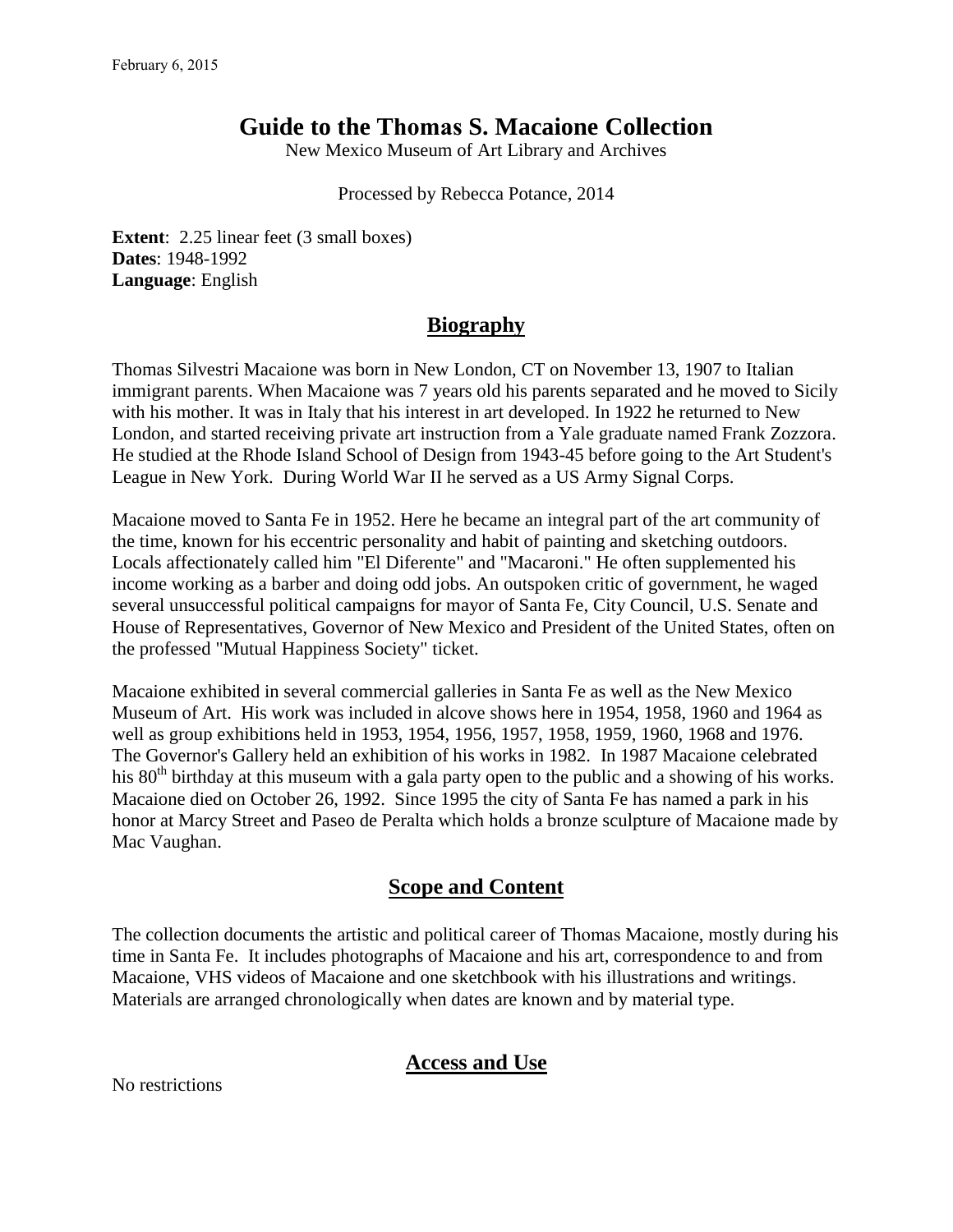# **Guide to the Thomas S. Macaione Collection**

New Mexico Museum of Art Library and Archives

Processed by Rebecca Potance, 2014

**Extent**: 2.25 linear feet (3 small boxes) **Dates**: 1948-1992 **Language**: English

### **Biography**

Thomas Silvestri Macaione was born in New London, CT on November 13, 1907 to Italian immigrant parents. When Macaione was 7 years old his parents separated and he moved to Sicily with his mother. It was in Italy that his interest in art developed. In 1922 he returned to New London, and started receiving private art instruction from a Yale graduate named Frank Zozzora. He studied at the Rhode Island School of Design from 1943-45 before going to the Art Student's League in New York. During World War II he served as a US Army Signal Corps.

Macaione moved to Santa Fe in 1952. Here he became an integral part of the art community of the time, known for his eccentric personality and habit of painting and sketching outdoors. Locals affectionately called him "El Diferente" and "Macaroni." He often supplemented his income working as a barber and doing odd jobs. An outspoken critic of government, he waged several unsuccessful political campaigns for mayor of Santa Fe, City Council, U.S. Senate and House of Representatives, Governor of New Mexico and President of the United States, often on the professed "Mutual Happiness Society" ticket.

Macaione exhibited in several commercial galleries in Santa Fe as well as the New Mexico Museum of Art. His work was included in alcove shows here in 1954, 1958, 1960 and 1964 as well as group exhibitions held in 1953, 1954, 1956, 1957, 1958, 1959, 1960, 1968 and 1976. The Governor's Gallery held an exhibition of his works in 1982. In 1987 Macaione celebrated his 80<sup>th</sup> birthday at this museum with a gala party open to the public and a showing of his works. Macaione died on October 26, 1992. Since 1995 the city of Santa Fe has named a park in his honor at Marcy Street and Paseo de Peralta which holds a bronze sculpture of Macaione made by Mac Vaughan.

### **Scope and Content**

The collection documents the artistic and political career of Thomas Macaione, mostly during his time in Santa Fe. It includes photographs of Macaione and his art, correspondence to and from Macaione, VHS videos of Macaione and one sketchbook with his illustrations and writings. Materials are arranged chronologically when dates are known and by material type.

### **Access and Use**

No restrictions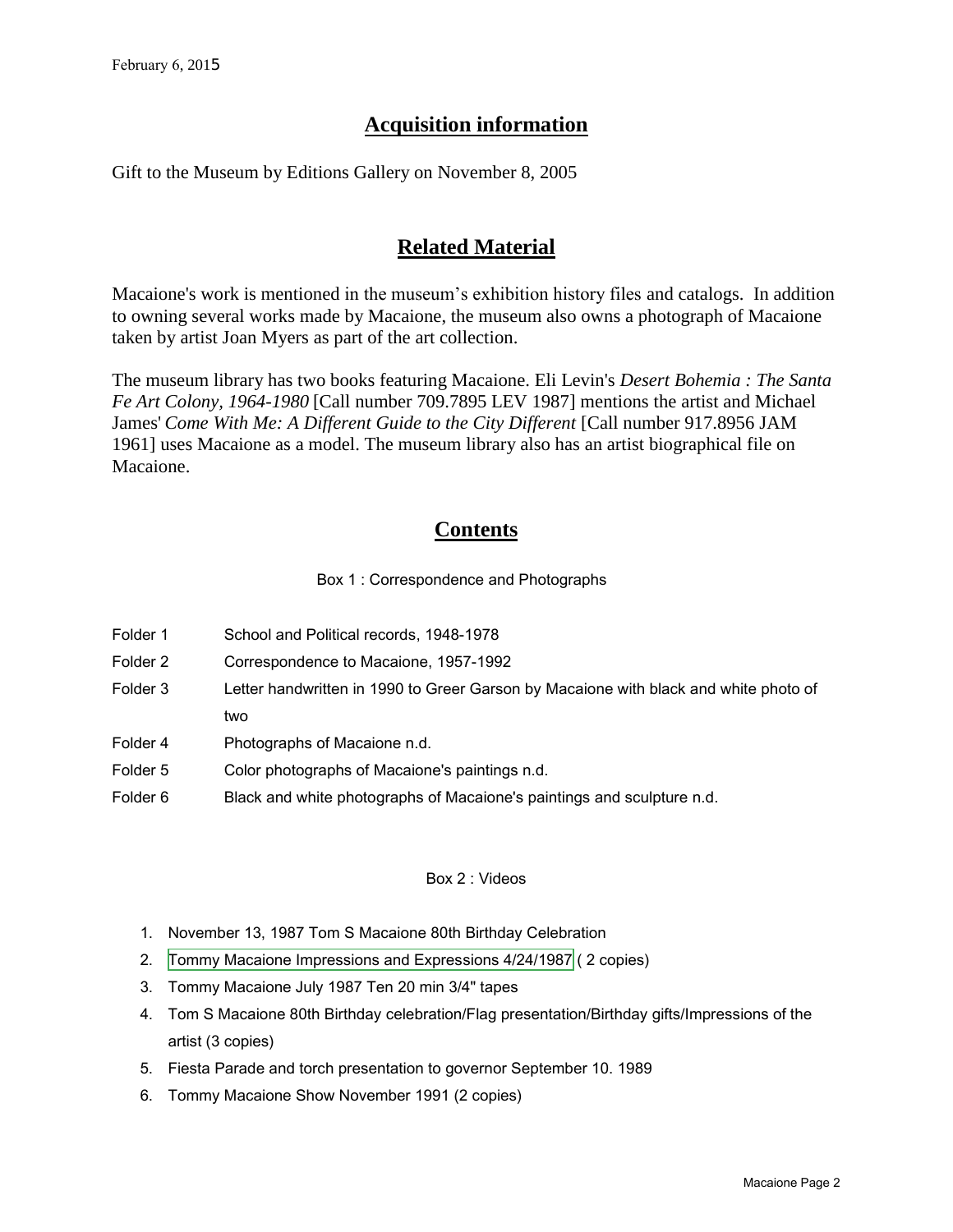# **Acquisition information**

Gift to the Museum by Editions Gallery on November 8, 2005

# **Related Material**

Macaione's work is mentioned in the museum's exhibition history files and catalogs. In addition to owning several works made by Macaione, the museum also owns a photograph of Macaione taken by artist Joan Myers as part of the art collection.

The museum library has two books featuring Macaione. Eli Levin's *Desert Bohemia : The Santa Fe Art Colony, 1964-1980* [Call number 709.7895 LEV 1987] mentions the artist and Michael James' Come With Me: A Different Guide to the City Different [Call number 917.8956 JAM 1961] uses Macaione as a model. The museum library also has an artist biographical file on Macaione.

## **Contents**

Box 1 : Correspondence and Photographs

- Folder 1 School and Political records, 1948-1978
- Folder 2 Correspondence to Macaione, 1957-1992
- Folder 3 Letter handwritten in 1990 to Greer Garson by Macaione with black and white photo of two
- Folder 4 Photographs of Macaione n.d.
- Folder 5 Color photographs of Macaione's paintings n.d.
- Folder 6 Black and white photographs of Macaione's paintings and sculpture n.d.

#### Box 2 : Videos

- 1. November 13, 1987 Tom S Macaione 80th Birthday Celebration
- 2. [Tommy Macaione Impressions and Expressions 4/24/1987](http://youtu.be/LICA2Ps6JCU) ( 2 copies)
- 3. Tommy Macaione July 1987 Ten 20 min 3/4" tapes
- 4. Tom S Macaione 80th Birthday celebration/Flag presentation/Birthday gifts/Impressions of the artist (3 copies)
- 5. Fiesta Parade and torch presentation to governor September 10. 1989
- 6. Tommy Macaione Show November 1991 (2 copies)